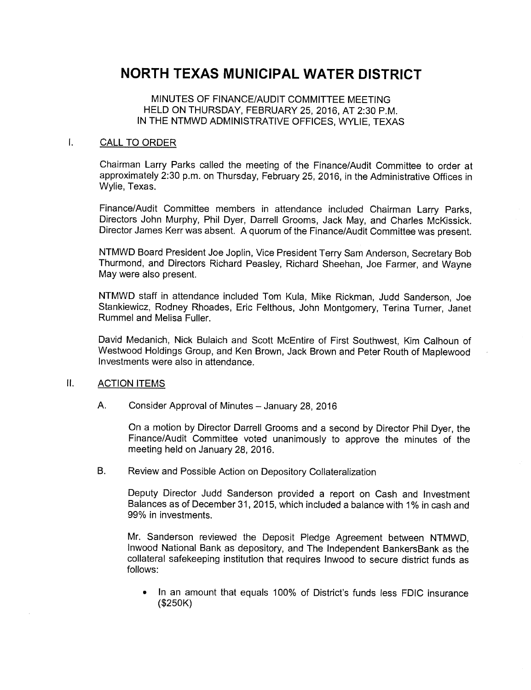## NORTH TEXAS MUNICIPAL WATER DISTRICT

MINUTES OF FINANCE/AUDIT COMMITTEE MEETING HELD ON THURSDAY, FEBRUARY 25, 2016, AT 2:30 P.M. IN THE NTMWD ADMINISTRATIVE OFFICES, WYLIE, TEXAS

## $\mathbf{I}$ . CALL TO ORDER

Chairman Larry Parks called the meeting of the Finance/Audit Committee to order at approximately 2:30 p.m. on Thursday, February 25, 2016, in the Administrative Offices in Wylie, Texas.

Finance/Audit Committee members in attendance included Chairman Larry Parks, Directors John Murphy, Phil Dyer, Darrell Grooms, Jack May, and Charles McKissick. Director James Kerr was absent. A quorum of the Finance/Audit Committee was present.

NTMWD Board President Joe Joplin, Vice President Terry Sam Anderson, Secretary Bob Thurmond, and Directors Richard Peasley, Richard Sheehan, Joe Farmer, and Wayne May were also present.

NTMWD staff in attendance included Tom Kula, Mike Rickman, Judd Sanderson, Joe Stankiewicz, Rodney Rhoades, Eric Felthous, John Montgomery, Terina Turner, Janet Rummel and Melisa Fuller.

David Medanich, Nick Bulaich and Scott McEntire of First Southwest, Kim Calhoun of Westwood Holdings Group, and Ken Brown, Jack Brown and Peter Routh of Maplewood Investments were also in attendance.

## II. ACTION ITEMS

A. Consider Approval of Minutes — January 28, 2016

On a motion by Director Darrell Grooms and a second by Director Phil Dyer, the Finance /Audit Committee voted unanimously to approve the minutes of the meeting held on January 28, 2016.

B. Review and Possible Action on Depository Collateralization

Deputy Director Judd Sanderson provided a report on Cash and Investment Balances as of December 31, 2015, which included a balance with 1% in cash and 99% in investments.

Mr. Sanderson reviewed the Deposit Pledge Agreement between NTMWD, Inwood National Bank as depository, and The Independent BankersBank as the collateral safekeeping institution that requires Inwood to secure district funds as follows:

• In an amount that equals 100% of District's funds less FDIC insurance  $($250K)$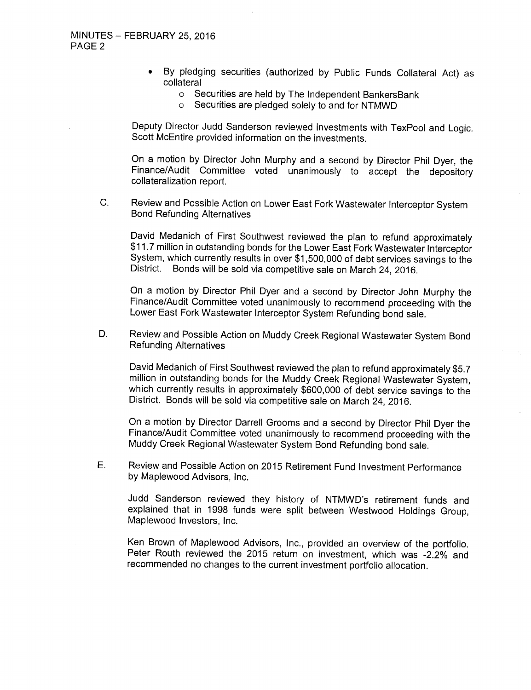- By pledging securities ( authorized by Public Funds Collateral Act) as collateral
	- o Securities are held by The Independent BankersBank
	- o Securities are pledged solely to and for NTMWD

Deputy Director Judd Sanderson reviewed investments with TexPool and Logic. Scott McEntire provided information on the investments.

On a motion by Director John Murphy and a second by Director Phil Dyer, the Finance/Audit Committee voted unanimously to accept the depository collateralization report.

C. Review and Possible Action on Lower East Fork Wastewater Interceptor System Bond Refunding Alternatives

David Medanich of First Southwest reviewed the plan to refund approximately \$11.7 million in outstanding bonds for the Lower East Fork Wastewater Interceptor System, which currently results in over \$1,500,000 of debt services savings to the District. Bonds will be sold via competitive sale on March 24, 2016.

On a motion by Director Phil Dyer and a second by Director John Murphy the Finance/Audit Committee voted unanimously to recommend proceeding with the Lower East Fork Wastewater Interceptor System Refunding bond sale.

D. Review and Possible Action on Muddy Creek Regional Wastewater System Bond Refunding Alternatives

David Medanich of First Southwest reviewed the plan to refund approximately \$5. 7 million in outstanding bonds for the Muddy Creek Regional Wastewater System, which currently results in approximately \$600,000 of debt service savings to the District. Bonds will be sold via competitive sale on March 24, 2016.

On a motion by Director Darrell Grooms and a second by Director Phil Dyer the Finance/Audit Committee voted unanimously to recommend proceeding with the Muddy Creek Regional Wastewater System Bond Refunding bond sale.

E. Review and Possible Action on 2015 Retirement Fund Investment Performance by Maplewood Advisors, Inc.

Judd Sanderson reviewed they history of NTMWD's retirement funds and explained that in 1998 funds were split between Westwood Holdings Group, Maplewood Investors, Inc.

Ken Brown of Maplewood Advisors, Inc., provided an overview of the portfolio. Peter Routh reviewed the 2015 return on investment, which was -2.2% and recommended no changes to the current investment portfolio allocation.